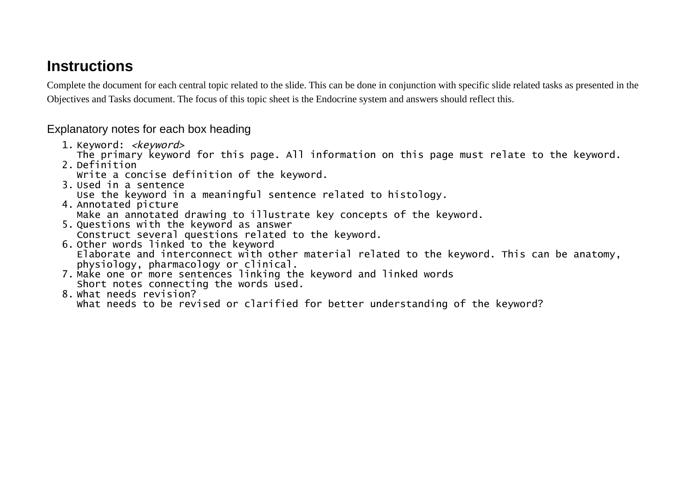## **Instructions**

Complete the document for each central topic related to the slide. This can be done in conjunction with specific slide related tasks as presented in the Objectives and Tasks document. The focus of this topic sheet is the Endocrine system and answers should reflect this.

Explanatory notes for each box heading

1. Keyword: <*keyword>* 

The primary keyword for this page. All information on this page must relate to the keyword.

- 2. Definition
	- Write a concise definition of the keyword.
- 3. Used in a sentence

Use the keyword in a meaningful sentence related to histology.

- 4. Annotated picture Make an annotated drawing to illustrate key concepts of the keyword.
- 5. Questions with the keyword as answer Construct several questions related to the keyword.
- 6. Other words linked to the keyword Elaborate and interconnect with other material related to the keyword. This can be anatomy, physiology, pharmacology or clinical.
- 7. Make one or more sentences linking the keyword and linked words Short notes connecting the words used.
- 8. What needs revision? What needs to be revised or clarified for better understanding of the keyword?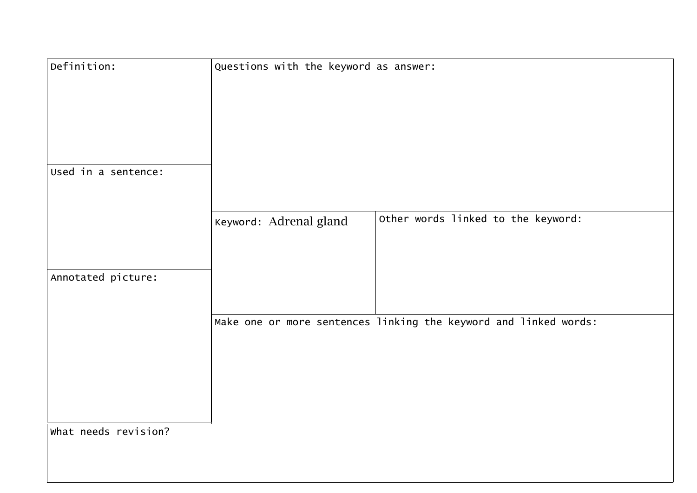| Definition:          | Questions with the keyword as answer:                            |
|----------------------|------------------------------------------------------------------|
| Used in a sentence:  |                                                                  |
|                      |                                                                  |
|                      | Other words linked to the keyword:<br>Keyword: Adrenal gland     |
| Annotated picture:   |                                                                  |
|                      | Make one or more sentences linking the keyword and linked words: |
| What needs revision? |                                                                  |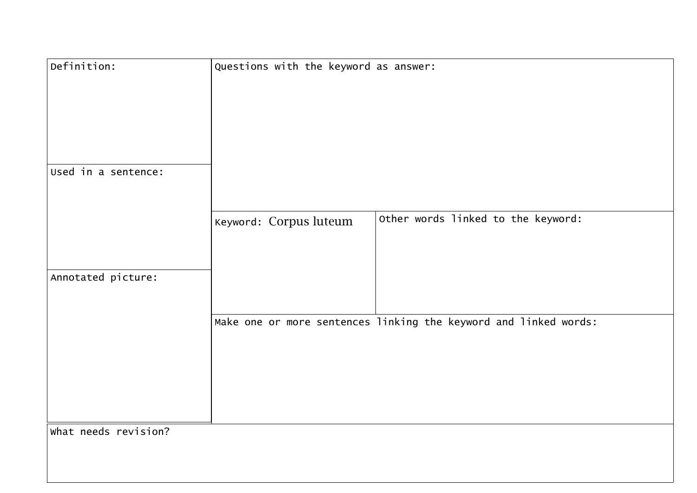| Definition:          | Questions with the keyword as answer:                            |
|----------------------|------------------------------------------------------------------|
| Used in a sentence:  |                                                                  |
|                      | Other words linked to the keyword:<br>Keyword: Corpus luteum     |
| Annotated picture:   |                                                                  |
|                      | Make one or more sentences linking the keyword and linked words: |
|                      |                                                                  |
| What needs revision? |                                                                  |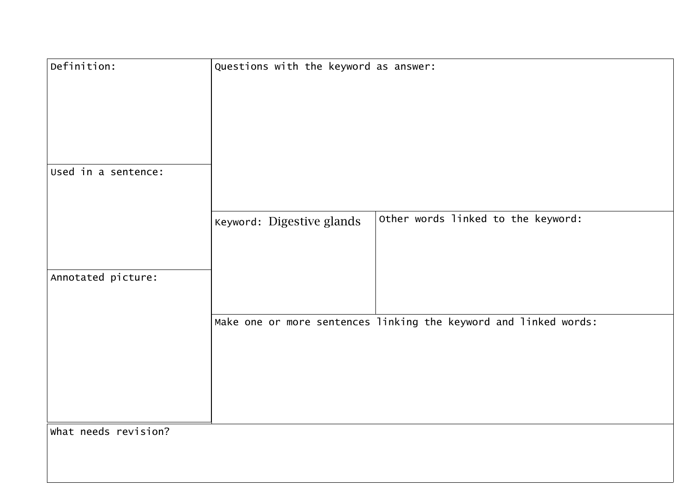| Definition:          | Questions with the keyword as answer:                            |
|----------------------|------------------------------------------------------------------|
| Used in a sentence:  |                                                                  |
|                      |                                                                  |
|                      | Other words linked to the keyword:<br>Keyword: Digestive glands  |
| Annotated picture:   |                                                                  |
|                      | Make one or more sentences linking the keyword and linked words: |
| What needs revision? |                                                                  |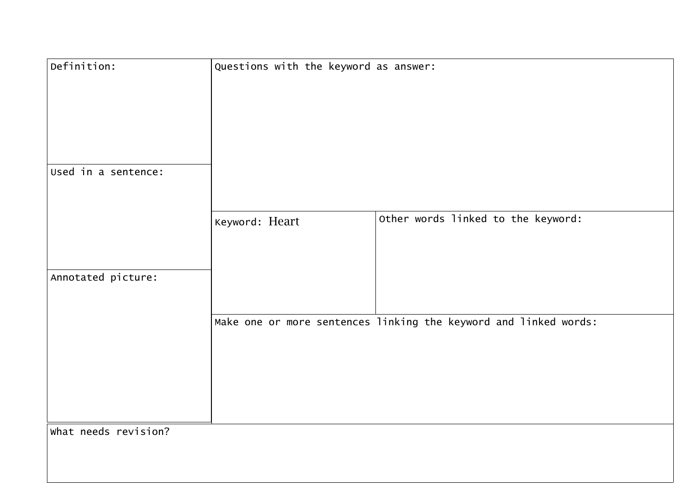| Definition:          | Questions with the keyword as answer:                            |
|----------------------|------------------------------------------------------------------|
| Used in a sentence:  |                                                                  |
|                      |                                                                  |
|                      | Other words linked to the keyword:<br>Keyword: Heart             |
| Annotated picture:   |                                                                  |
|                      | Make one or more sentences linking the keyword and linked words: |
| What needs revision? |                                                                  |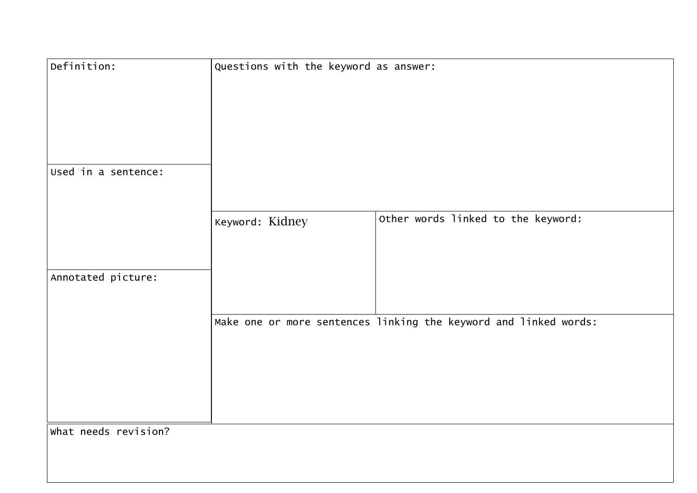| Keyword: Kidney |                                                                                                                                                 |
|-----------------|-------------------------------------------------------------------------------------------------------------------------------------------------|
|                 |                                                                                                                                                 |
|                 |                                                                                                                                                 |
|                 |                                                                                                                                                 |
|                 |                                                                                                                                                 |
|                 |                                                                                                                                                 |
|                 |                                                                                                                                                 |
|                 |                                                                                                                                                 |
|                 |                                                                                                                                                 |
|                 |                                                                                                                                                 |
|                 | Questions with the keyword as answer:<br>Other words linked to the keyword:<br>Make one or more sentences linking the keyword and linked words: |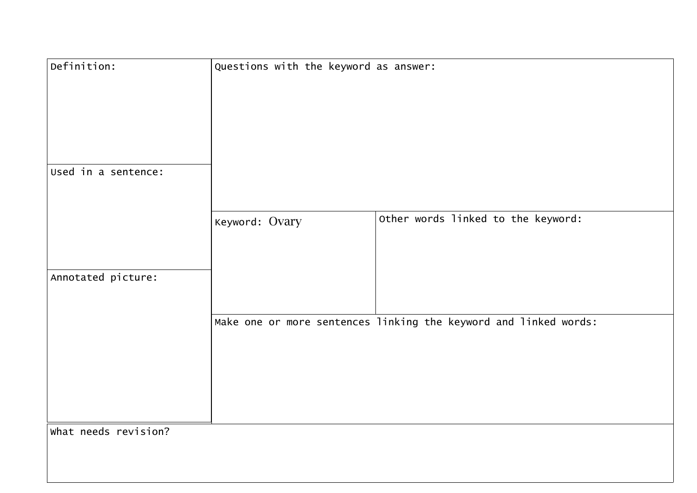| Definition:          | Questions with the keyword as answer:                            |
|----------------------|------------------------------------------------------------------|
|                      |                                                                  |
| Used in a sentence:  |                                                                  |
|                      | Other words linked to the keyword:<br>Keyword: Ovary             |
| Annotated picture:   |                                                                  |
|                      | Make one or more sentences linking the keyword and linked words: |
| What needs revision? |                                                                  |
|                      |                                                                  |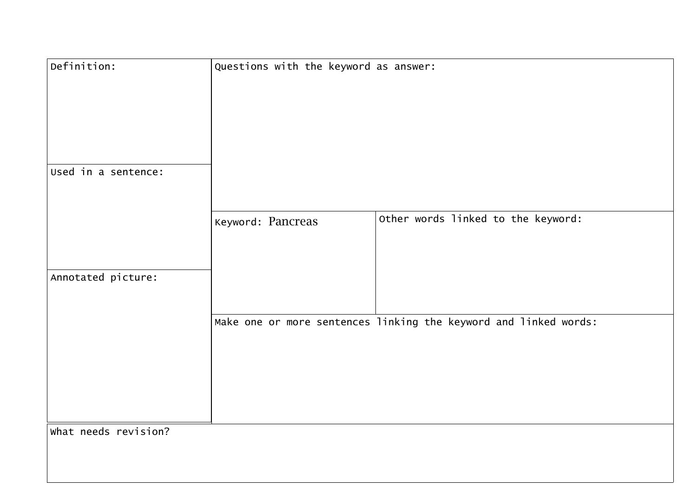| Definition:          | Questions with the keyword as answer:                            |
|----------------------|------------------------------------------------------------------|
|                      |                                                                  |
| Used in a sentence:  |                                                                  |
|                      | Other words linked to the keyword:<br>Keyword: Pancreas          |
| Annotated picture:   |                                                                  |
|                      | Make one or more sentences linking the keyword and linked words: |
| What needs revision? |                                                                  |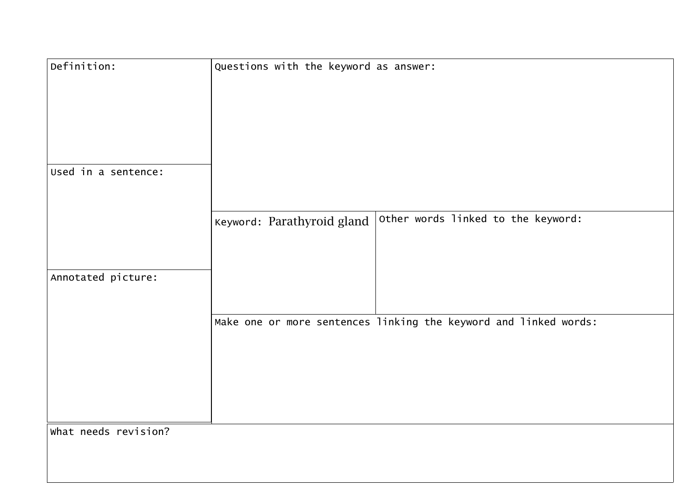| Definition:          | Questions with the keyword as answer:                            |
|----------------------|------------------------------------------------------------------|
| Used in a sentence:  |                                                                  |
|                      | Other words linked to the keyword:<br>Keyword: Parathyroid gland |
| Annotated picture:   |                                                                  |
|                      | Make one or more sentences linking the keyword and linked words: |
| What needs revision? |                                                                  |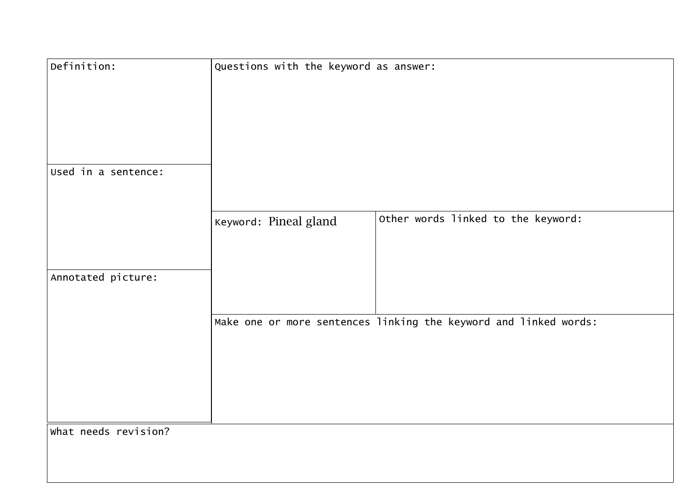| Other words linked to the keyword:                               |
|------------------------------------------------------------------|
|                                                                  |
|                                                                  |
| Make one or more sentences linking the keyword and linked words: |
|                                                                  |
|                                                                  |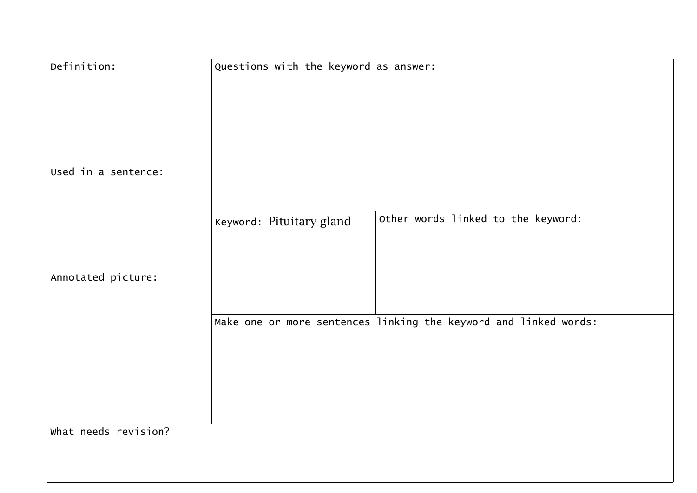| Definition:          | Questions with the keyword as answer:                            |
|----------------------|------------------------------------------------------------------|
| Used in a sentence:  |                                                                  |
|                      |                                                                  |
|                      | Other words linked to the keyword:<br>Keyword: Pituitary gland   |
| Annotated picture:   |                                                                  |
|                      | Make one or more sentences linking the keyword and linked words: |
| What needs revision? |                                                                  |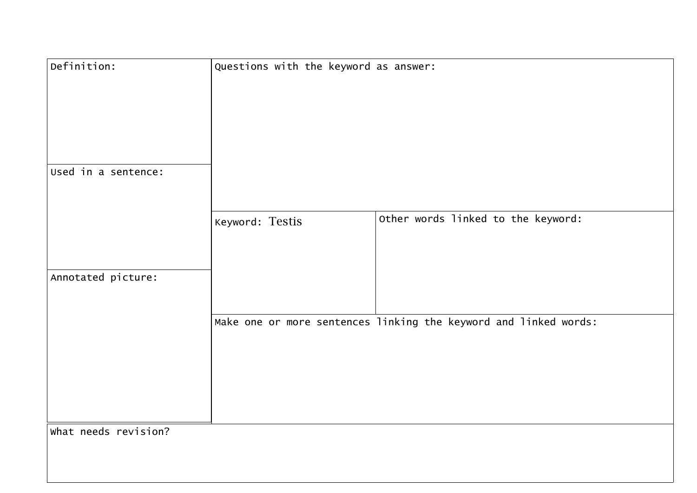| Definition:          | Questions with the keyword as answer:                            |
|----------------------|------------------------------------------------------------------|
| Used in a sentence:  |                                                                  |
|                      |                                                                  |
|                      | Other words linked to the keyword:<br>Keyword: Testis            |
| Annotated picture:   |                                                                  |
|                      | Make one or more sentences linking the keyword and linked words: |
| What needs revision? |                                                                  |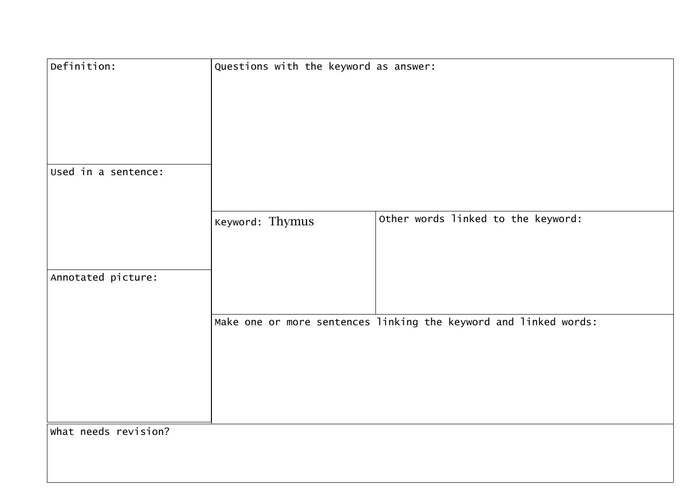| Definition:          | Questions with the keyword as answer:                            |
|----------------------|------------------------------------------------------------------|
| Used in a sentence:  |                                                                  |
|                      |                                                                  |
|                      | Other words linked to the keyword:<br>Keyword: Thymus            |
| Annotated picture:   |                                                                  |
|                      | Make one or more sentences linking the keyword and linked words: |
|                      |                                                                  |
| What needs revision? |                                                                  |